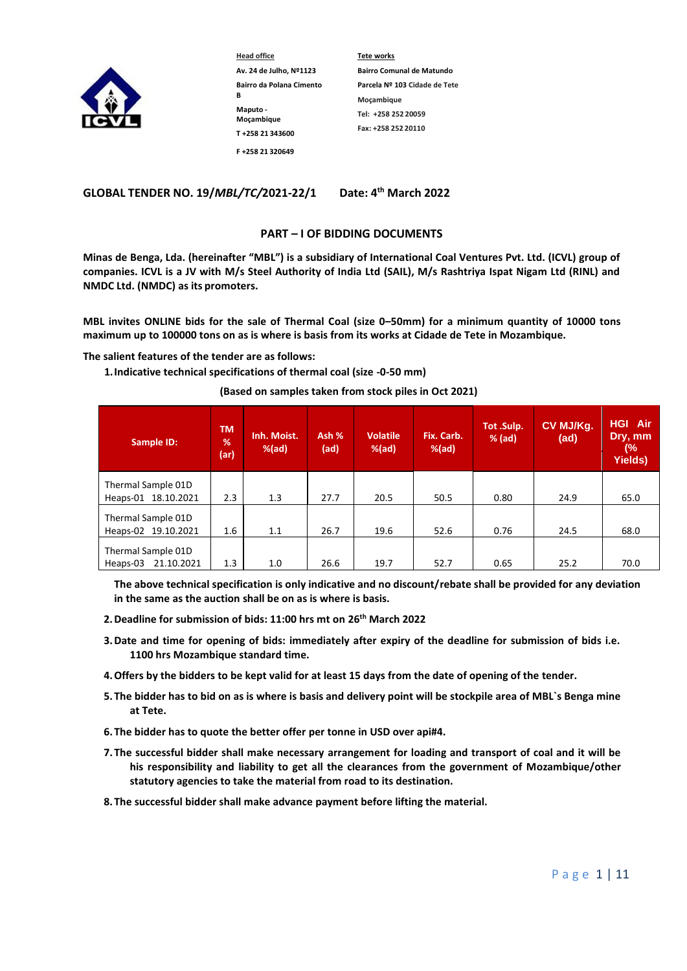

**Head office Av. 24 de Julho, Nº1123 Bairro da Polana Cimento B Maputo - Moçambique T +258 21 343600 F +258 21 320649**

**Tete works Bairro Comunal de Matundo Parcela Nº 103 Cidade de Tete Moçambique Tel: +258 252 20059 Fax: +258 252 20110**

**GLOBAL TENDER NO. 19/***MBL/TC***/2021-22/1 th March 2022**

### **PART – I OF BIDDING DOCUMENTS**

**Minas de Benga, Lda. (hereinafter "MBL") is a subsidiary of International Coal Ventures Pvt. Ltd. (ICVL) group of companies. ICVL is a JV with M/s Steel Authority of India Ltd (SAIL), M/s Rashtriya Ispat Nigam Ltd (RINL) and NMDC Ltd. (NMDC) as its promoters.**

**MBL invites ONLINE bids for the sale of Thermal Coal (size 0–50mm) for a minimum quantity of 10000 tons maximum up to 100000 tons on as is where is basis from its works at Cidade de Tete in Mozambique.**

### **The salient features of the tender are as follows:**

**1.Indicative technical specifications of thermal coal (size -0-50 mm)** 

### **(Based on samples taken from stock piles in Oct 2021)**

| Sample ID:                                | <b>TM</b><br>$\frac{9}{6}$<br>(ar) | Inh. Moist.<br>$%$ (ad) | Ash %<br>(ad) | <b>Volatile</b><br>$%$ (ad) | Fix. Carb.<br>$%$ (ad) | Tot .Sulp.<br>$%$ (ad) | CV MJ/Kg.<br>(ad) | <b>HGI Air</b><br>Dry, mm<br>(%<br><b>Yields)</b> |
|-------------------------------------------|------------------------------------|-------------------------|---------------|-----------------------------|------------------------|------------------------|-------------------|---------------------------------------------------|
| Thermal Sample 01D                        |                                    |                         |               |                             |                        |                        |                   |                                                   |
| Heaps-01 18.10.2021                       | 2.3                                | 1.3                     | 27.7          | 20.5                        | 50.5                   | 0.80                   | 24.9              | 65.0                                              |
| Thermal Sample 01D<br>Heaps-02 19.10.2021 | 1.6                                | 1.1                     | 26.7          | 19.6                        | 52.6                   | 0.76                   | 24.5              | 68.0                                              |
|                                           |                                    |                         |               |                             |                        |                        |                   |                                                   |
| Thermal Sample 01D                        |                                    |                         |               |                             |                        |                        |                   |                                                   |
| 21.10.2021<br>Heaps-03                    | 1.3                                | 1.0                     | 26.6          | 19.7                        | 52.7                   | 0.65                   | 25.2              | 70.0                                              |

**The above technical specification is only indicative and no discount/rebate shall be provided for any deviation in the same as the auction shall be on as is where is basis.**

- **2.Deadline for submission of bids: 11:00 hrs mt on 26th March 2022**
- **3.Date and time for opening of bids: immediately after expiry of the deadline for submission of bids i.e. 1100 hrs Mozambique standard time.**
- **4.Offers by the bidders to be kept valid for at least 15 days from the date of opening of the tender.**
- **5. The bidder has to bid on as is where is basis and delivery point will be stockpile area of MBL`s Benga mine at Tete.**
- **6. The bidder has to quote the better offer per tonne in USD over api#4.**
- **7. The successful bidder shall make necessary arrangement for loading and transport of coal and it will be his responsibility and liability to get all the clearances from the government of Mozambique/other statutory agencies to take the material from road to its destination.**
- **8. The successful bidder shall make advance payment before lifting the material.**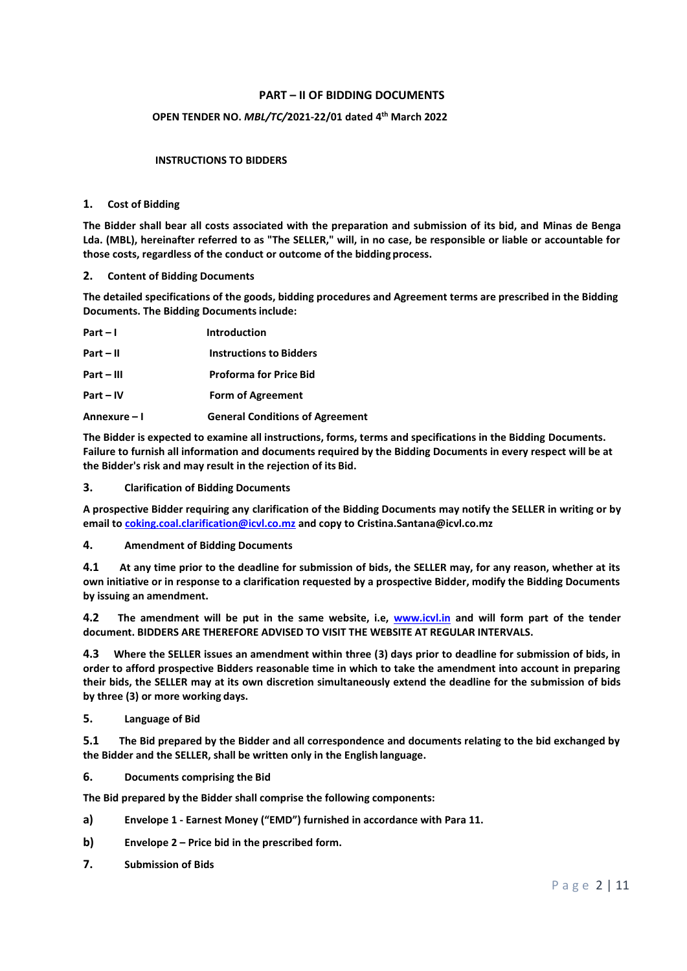# **PART – II OF BIDDING DOCUMENTS**

# **OPEN TENDER NO.** *MBL/TC/***2021-22/01 dated 4 th March 2022**

### **INSTRUCTIONS TO BIDDERS**

#### **1. Cost of Bidding**

**The Bidder shall bear all costs associated with the preparation and submission of its bid, and Minas de Benga Lda. (MBL), hereinafter referred to as "The SELLER," will, in no case, be responsible or liable or accountable for those costs, regardless of the conduct or outcome of the bidding process.**

#### **2. Content of Bidding Documents**

**The detailed specifications of the goods, bidding procedures and Agreement terms are prescribed in the Bidding Documents. The Bidding Documentsinclude:**

| $Part - I$   | Introduction                           |
|--------------|----------------------------------------|
| $Part - II$  | <b>Instructions to Bidders</b>         |
| $Part - III$ | <b>Proforma for Price Bid</b>          |
| $Part - IV$  | <b>Form of Agreement</b>               |
| Annexure – I | <b>General Conditions of Agreement</b> |

**The Bidder is expected to examine all instructions, forms, terms and specifications in the Bidding Documents. Failure to furnish all information and documents required by the Bidding Documents in every respect will be at the Bidder's risk and may result in the rejection of its Bid.**

#### **3. Clarification of Bidding Documents**

**A prospective Bidder requiring any clarification of the Bidding Documents may notify the SELLER in writing or by email to [coking.coal.clarification@icvl.co.mz](mailto:coking.coal.clarification@icvl.co.mz) and copy to Cristina.Santana@icvl.co.mz**

#### **4. Amendment of Bidding Documents**

**4.1 At any time prior to the deadline for submission of bids, the SELLER may, for any reason, whether at its own initiative or in response to a clarification requested by a prospective Bidder, modify the Bidding Documents by issuing an amendment.**

**4.2 The amendment will be put in the same website, i.e, [www.icvl.in](http://www.icvl.in/) and will form part of the tender document. BIDDERS ARE THEREFORE ADVISED TO VISIT THE WEBSITE AT REGULAR INTERVALS.**

**4.3 Where the SELLER issues an amendment within three (3) days prior to deadline for submission of bids, in order to afford prospective Bidders reasonable time in which to take the amendment into account in preparing their bids, the SELLER may at its own discretion simultaneously extend the deadline for the submission of bids by three (3) or more working days.**

### **5. Language of Bid**

**5.1 The Bid prepared by the Bidder and all correspondence and documents relating to the bid exchanged by the Bidder and the SELLER, shall be written only in the English language.**

**6. Documents comprising the Bid**

**The Bid prepared by the Bidder shall comprise the following components:**

- **a) Envelope 1 - Earnest Money ("EMD") furnished in accordance with Para 11.**
- **b) Envelope 2 – Price bid in the prescribed form.**
- **7. Submission of Bids**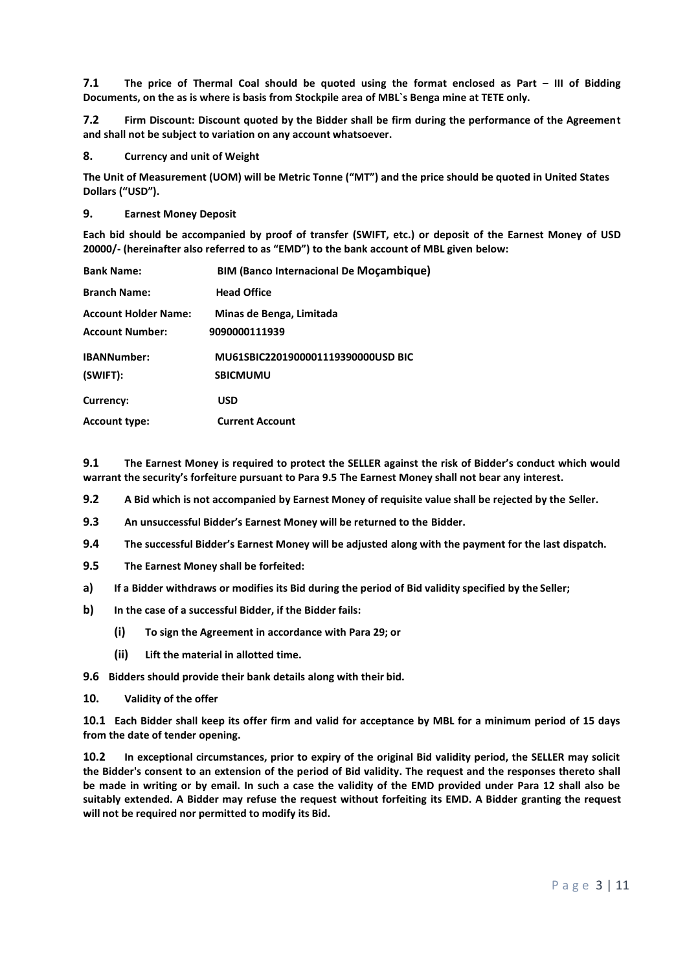**7.1 The price of Thermal Coal should be quoted using the format enclosed as Part – III of Bidding Documents, on the as is where is basis from Stockpile area of MBL`s Benga mine at TETE only.**

**7.2 Firm Discount: Discount quoted by the Bidder shall be firm during the performance of the Agreement and shall not be subject to variation on any account whatsoever.**

**8. Currency and unit of Weight**

**The Unit of Measurement (UOM) will be Metric Tonne ("MT") and the price should be quoted in United States Dollars ("USD").**

### **9. Earnest Money Deposit**

**Each bid should be accompanied by proof of transfer (SWIFT, etc.) or deposit of the Earnest Money of USD 20000/- (hereinafter also referred to as "EMD") to the bank account of MBL given below:**

| <b>Bank Name:</b>           | <b>BIM (Banco Internacional De Moçambique)</b> |
|-----------------------------|------------------------------------------------|
| <b>Branch Name:</b>         | <b>Head Office</b>                             |
| <b>Account Holder Name:</b> | Minas de Benga, Limitada                       |
| <b>Account Number:</b>      | 9090000111939                                  |
| <b>IBANNumber:</b>          | MU61SBIC2201900001119390000USD BIC             |
| (SWIFT):                    | <b>SBICMUMU</b>                                |
| Currency:                   | <b>USD</b>                                     |
| <b>Account type:</b>        | <b>Current Account</b>                         |

**9.1 The Earnest Money is required to protect the SELLER against the risk of Bidder's conduct which would warrant the security's forfeiture pursuant to Para 9.5 The Earnest Money shall not bear any interest.**

- **9.2 A Bid which is not accompanied by Earnest Money of requisite value shall be rejected by the Seller.**
- **9.3 An unsuccessful Bidder's Earnest Money will be returned to the Bidder.**
- **9.4 The successful Bidder's Earnest Money will be adjusted along with the payment for the last dispatch.**
- **9.5 The Earnest Money shall be forfeited:**
- **a) If a Bidder withdraws or modifies its Bid during the period of Bid validity specified by the Seller;**
- **b) In the case of a successful Bidder, if the Bidder fails:**
	- **(i) To sign the Agreement in accordance with Para 29; or**
	- **(ii) Lift the material in allotted time.**
- **9.6 Bidders should provide their bank details along with their bid.**
- **10. Validity of the offer**

**10.1 Each Bidder shall keep its offer firm and valid for acceptance by MBL for a minimum period of 15 days from the date of tender opening.**

**10.2 In exceptional circumstances, prior to expiry of the original Bid validity period, the SELLER may solicit the Bidder's consent to an extension of the period of Bid validity. The request and the responses thereto shall be made in writing or by email. In such a case the validity of the EMD provided under Para 12 shall also be suitably extended. A Bidder may refuse the request without forfeiting its EMD. A Bidder granting the request will not be required nor permitted to modify its Bid.**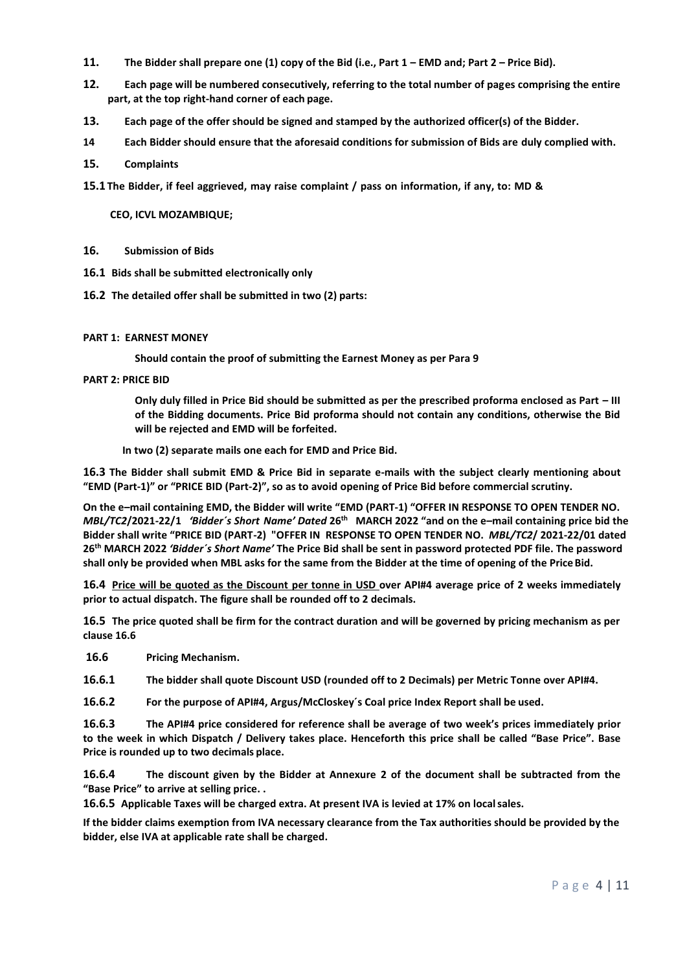- **11. The Bidder shall prepare one (1) copy of the Bid (i.e., Part 1 – EMD and; Part 2 – Price Bid).**
- **12. Each page will be numbered consecutively, referring to the total number of pages comprising the entire part, at the top right-hand corner of each page.**
- **13. Each page of the offer should be signed and stamped by the authorized officer(s) of the Bidder.**
- **14 Each Bidder should ensure that the aforesaid conditions for submission of Bids are duly complied with.**
- **15. Complaints**
- **15.1 The Bidder, if feel aggrieved, may raise complaint / pass on information, if any, to: MD &**

**CEO, ICVL MOZAMBIQUE;**

- **16. Submission of Bids**
- **16.1 Bids shall be submitted electronically only**
- **16.2 The detailed offer shall be submitted in two (2) parts:**

### **PART 1: EARNEST MONEY**

**Should contain the proof of submitting the Earnest Money as per Para 9**

### **PART 2: PRICE BID**

**Only duly filled in Price Bid should be submitted as per the prescribed proforma enclosed as Part – III of the Bidding documents. Price Bid proforma should not contain any conditions, otherwise the Bid will be rejected and EMD will be forfeited.**

**In two (2) separate mails one each for EMD and Price Bid.**

**16.3 The Bidder shall submit EMD & Price Bid in separate e-mails with the subject clearly mentioning about "EMD (Part-1)" or "PRICE BID (Part-2)", so as to avoid opening of Price Bid before commercial scrutiny.**

**On the e–mail containing EMD, the Bidder will write "EMD (PART-1) "OFFER IN RESPONSE TO OPEN TENDER NO.**  *MBL/TC2***/2021-22/1** *'Bidder´s Short Name' Dated* **26th MARCH 2022 "and on the e–mail containing price bid the Bidder shall write "PRICE BID (PART-2) "OFFER IN RESPONSE TO OPEN TENDER NO.** *MBL/TC2***/ 2021-22/01 dated 26th MARCH 2022** *'Bidder´s Short Name'* **The Price Bid shall be sent in password protected PDF file. The password shall only be provided when MBL asks for the same from the Bidder at the time of opening of the PriceBid.**

**16.4 Price will be quoted as the Discount per tonne in USD over API#4 average price of 2 weeks immediately prior to actual dispatch. The figure shall be rounded off to 2 decimals.**

**16.5 The price quoted shall be firm for the contract duration and will be governed by pricing mechanism as per clause 16.6**

**16.6 Pricing Mechanism.**

**16.6.1 The bidder shall quote Discount USD (rounded off to 2 Decimals) per Metric Tonne over API#4.**

**16.6.2 For the purpose of API#4, Argus/McCloskey´s Coal price Index Report shall be used.**

**16.6.3 The API#4 price considered for reference shall be average of two week's prices immediately prior to the week in which Dispatch / Delivery takes place. Henceforth this price shall be called "Base Price". Base Price is rounded up to two decimals place.**

**16.6.4 The discount given by the Bidder at Annexure 2 of the document shall be subtracted from the "Base Price" to arrive at selling price. .**

**16.6.5 Applicable Taxes will be charged extra. At present IVA is levied at 17% on localsales.**

**If the bidder claims exemption from IVA necessary clearance from the Tax authorities should be provided by the bidder, else IVA at applicable rate shall be charged.**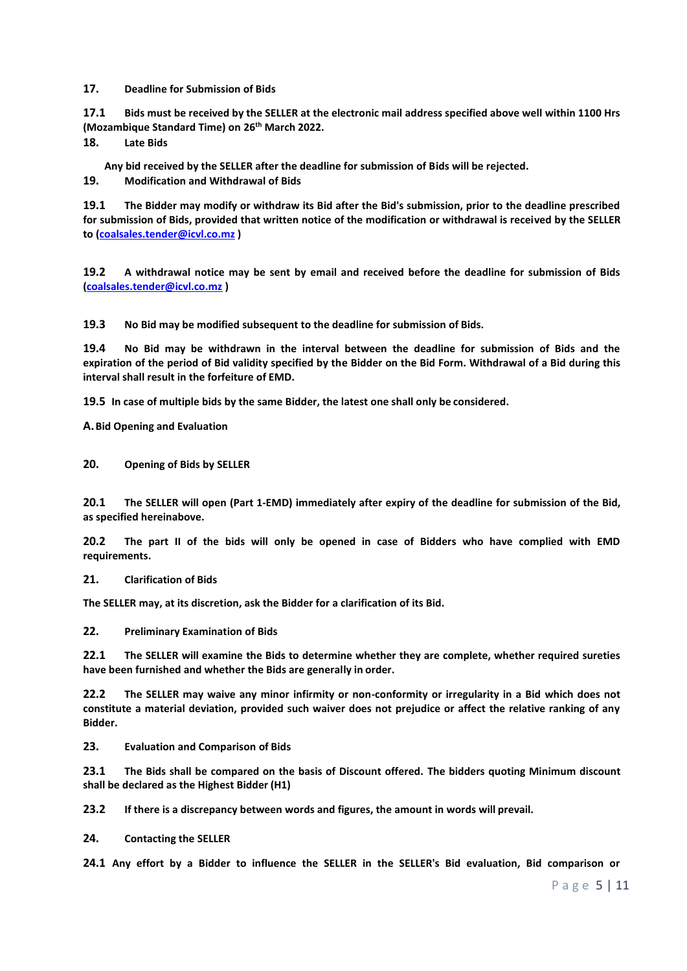**17. Deadline for Submission of Bids**

**17.1 Bids must be received by the SELLER at the electronic mail address specified above well within 1100 Hrs (Mozambique Standard Time) on 26th March 2022.**

**18. Late Bids**

**Any bid received by the SELLER after the deadline for submission of Bids will be rejected.**

**19. Modification and Withdrawal of Bids**

**19.1 The Bidder may modify or withdraw its Bid after the Bid's submission, prior to the deadline prescribed for submission of Bids, provided that written notice of the modification or withdrawal is received by the SELLER to [\(coalsales.tender@icvl.co.mz](mailto:coalsales.tender@icvl.co.mz) )**

**19.2 A withdrawal notice may be sent by email and received before the deadline for submission of Bids [\(coalsales.tender@icvl.co.mz](mailto:coalsales.tender@icvl.co.mz) )**

**19.3 No Bid may be modified subsequent to the deadline for submission of Bids.**

**19.4 No Bid may be withdrawn in the interval between the deadline for submission of Bids and the expiration of the period of Bid validity specified by the Bidder on the Bid Form. Withdrawal of a Bid during this interval shall result in the forfeiture of EMD.**

**19.5 In case of multiple bids by the same Bidder, the latest one shall only be considered.**

**A.Bid Opening and Evaluation**

**20. Opening of Bids by SELLER**

**20.1 The SELLER will open (Part 1-EMD) immediately after expiry of the deadline for submission of the Bid, as specified hereinabove.**

**20.2 The part II of the bids will only be opened in case of Bidders who have complied with EMD requirements.**

**21. Clarification of Bids**

**The SELLER may, at its discretion, ask the Bidder for a clarification of its Bid.**

**22. Preliminary Examination of Bids**

**22.1 The SELLER will examine the Bids to determine whether they are complete, whether required sureties have been furnished and whether the Bids are generally in order.**

**22.2 The SELLER may waive any minor infirmity or non-conformity or irregularity in a Bid which does not constitute a material deviation, provided such waiver does not prejudice or affect the relative ranking of any Bidder.**

**23. Evaluation and Comparison of Bids**

**23.1 The Bids shall be compared on the basis of Discount offered. The bidders quoting Minimum discount shall be declared as the Highest Bidder (H1)**

**23.2 If there is a discrepancy between words and figures, the amount in words will prevail.**

**24. Contacting the SELLER**

**24.1 Any effort by a Bidder to influence the SELLER in the SELLER's Bid evaluation, Bid comparison or**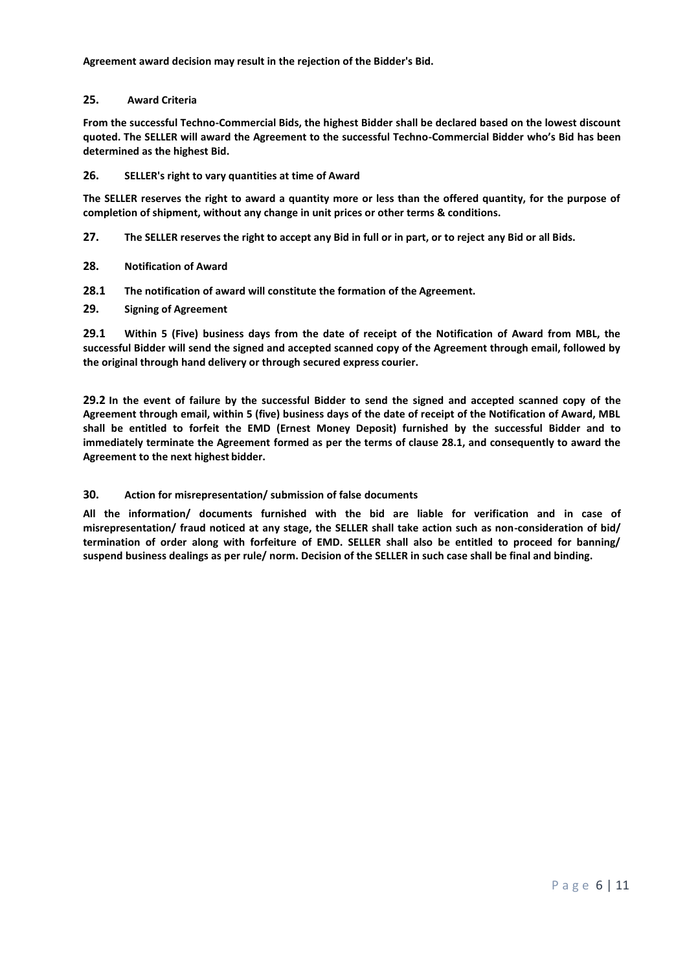**Agreement award decision may result in the rejection of the Bidder's Bid.**

### **25. Award Criteria**

**From the successful Techno-Commercial Bids, the highest Bidder shall be declared based on the lowest discount quoted. The SELLER will award the Agreement to the successful Techno-Commercial Bidder who's Bid has been determined as the highest Bid.**

### **26. SELLER's right to vary quantities at time of Award**

**The SELLER reserves the right to award a quantity more or less than the offered quantity, for the purpose of completion of shipment, without any change in unit prices or other terms & conditions.**

- **27. The SELLER reserves the right to accept any Bid in full or in part, or to reject any Bid or all Bids.**
- **28. Notification of Award**
- **28.1 The notification of award will constitute the formation of the Agreement.**
- **29. Signing of Agreement**

**29.1 Within 5 (Five) business days from the date of receipt of the Notification of Award from MBL, the successful Bidder will send the signed and accepted scanned copy of the Agreement through email, followed by the original through hand delivery or through secured express courier.**

**29.2 In the event of failure by the successful Bidder to send the signed and accepted scanned copy of the Agreement through email, within 5 (five) business days of the date of receipt of the Notification of Award, MBL shall be entitled to forfeit the EMD (Ernest Money Deposit) furnished by the successful Bidder and to immediately terminate the Agreement formed as per the terms of clause 28.1, and consequently to award the Agreement to the next highest bidder.**

### **30. Action for misrepresentation/ submission of false documents**

**All the information/ documents furnished with the bid are liable for verification and in case of misrepresentation/ fraud noticed at any stage, the SELLER shall take action such as non-consideration of bid/ termination of order along with forfeiture of EMD. SELLER shall also be entitled to proceed for banning/ suspend business dealings as per rule/ norm. Decision of the SELLER in such case shall be final and binding.**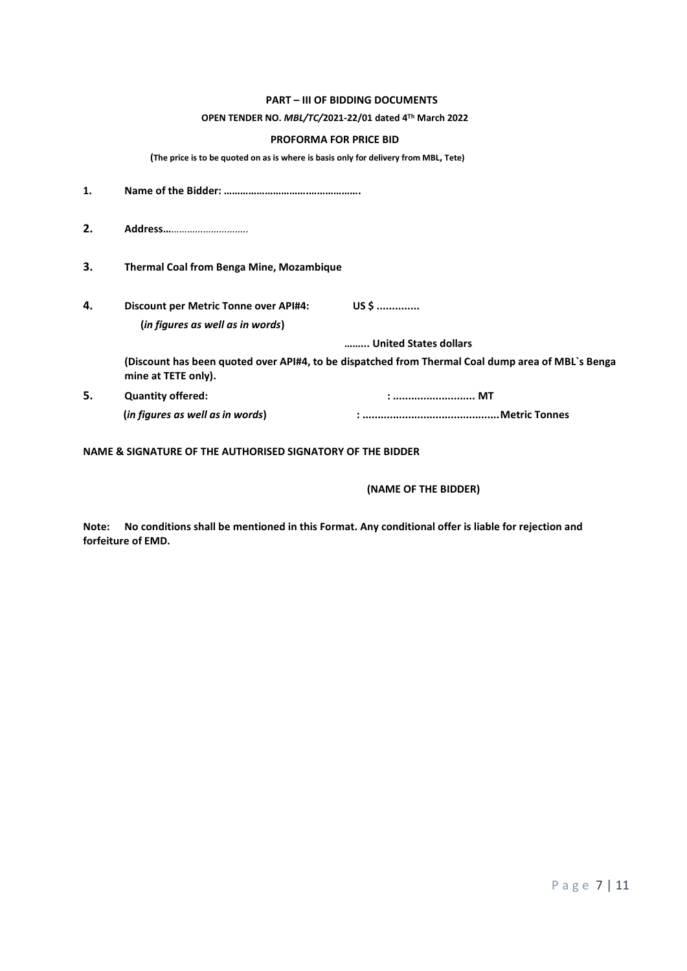### **PART – III OF BIDDING DOCUMENTS**

### **OPEN TENDER NO.** *MBL/TC/***2021-22/01 dated 4 Th March 2022**

### **PROFORMA FOR PRICE BID**

**(The price is to be quoted on as is where is basis only for delivery from MBL, Tete)** 

| 1. |                                                                                  |                                                                                                   |
|----|----------------------------------------------------------------------------------|---------------------------------------------------------------------------------------------------|
| 2. | Address                                                                          |                                                                                                   |
| З. | <b>Thermal Coal from Benga Mine, Mozambique</b>                                  |                                                                                                   |
| 4. | <b>Discount per Metric Tonne over API#4:</b><br>(in figures as well as in words) | $USS$                                                                                             |
|    |                                                                                  | United States dollars                                                                             |
|    | mine at TETE only).                                                              | (Discount has been quoted over API#4, to be dispatched from Thermal Coal dump area of MBL's Benga |
| 5. | <b>Quantity offered:</b>                                                         | :  MT                                                                                             |
|    | (in figures as well as in words)                                                 |                                                                                                   |

**NAME & SIGNATURE OF THE AUTHORISED SIGNATORY OF THE BIDDER**

## **(NAME OF THE BIDDER)**

**Note: No conditions shall be mentioned in this Format. Any conditional offer is liable for rejection and forfeiture of EMD.**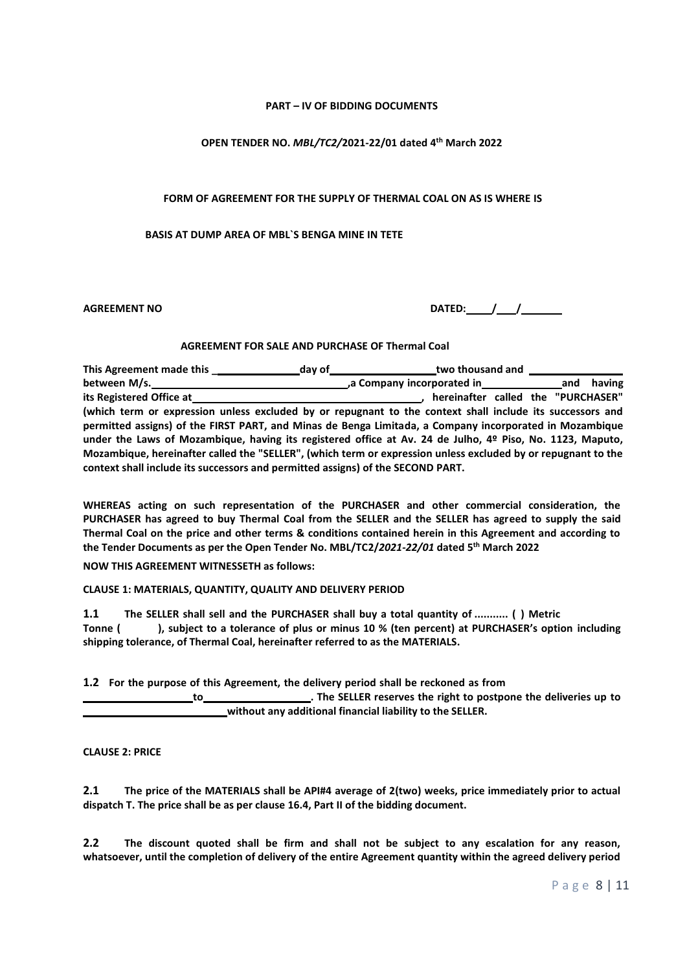### **PART – IV OF BIDDING DOCUMENTS**

# **OPEN TENDER NO.** *MBL/TC2/***2021-22/01 dated 4 th March 2022**

## **FORM OF AGREEMENT FOR THE SUPPLY OF THERMAL COAL ON AS IS WHERE IS**

### **BASIS AT DUMP AREA OF MBL`S BENGA MINE IN TETE**

**AGREEMENT NO DATED: / /**

### **AGREEMENT FOR SALE AND PURCHASE OF Thermal Coal**

**This Agreement made this \_ day of two thousand and between M/s. ,a Company incorporated in and having**  its Registered Office at **the actual contract of the set of the set of the set of the set of the set of the set of the "PURCHASER" <b>and the set of the set of the set of the set of the set of the set of the set of the set o (which term or expression unless excluded by or repugnant to the context shall include its successors and permitted assigns) of the FIRST PART, and Minas de Benga Limitada, a Company incorporated in Mozambique under the Laws of Mozambique, having its registered office at Av. 24 de Julho, 4º Piso, No. 1123, Maputo, Mozambique, hereinafter called the "SELLER", (which term or expression unless excluded by or repugnant to the context shall include its successors and permitted assigns) of the SECOND PART.**

**WHEREAS acting on such representation of the PURCHASER and other commercial consideration, the PURCHASER has agreed to buy Thermal Coal from the SELLER and the SELLER has agreed to supply the said Thermal Coal on the price and other terms & conditions contained herein in this Agreement and according to the Tender Documents as per the Open Tender No. MBL/TC2/***2021-22/01* **dated 5 th March 2022**

**NOW THIS AGREEMENT WITNESSETH as follows:**

**CLAUSE 1: MATERIALS, QUANTITY, QUALITY AND DELIVERY PERIOD**

**1.1 The SELLER shall sell and the PURCHASER shall buy a total quantity of ........... ( ) Metric Tonne ( ), subject to a tolerance of plus or minus 10 % (ten percent) at PURCHASER's option including shipping tolerance, of Thermal Coal, hereinafter referred to as the MATERIALS.**

**1.2 For the purpose of this Agreement, the delivery period shall be reckoned as from to . The SELLER reserves the right to postpone the deliveries up to**

**without any additional financial liability to the SELLER.**

**CLAUSE 2: PRICE**

**2.1 The price of the MATERIALS shall be API#4 average of 2(two) weeks, price immediately prior to actual dispatch T. The price shall be as per clause 16.4, Part II of the bidding document.**

**2.2 The discount quoted shall be firm and shall not be subject to any escalation for any reason, whatsoever, until the completion of delivery of the entire Agreement quantity within the agreed delivery period**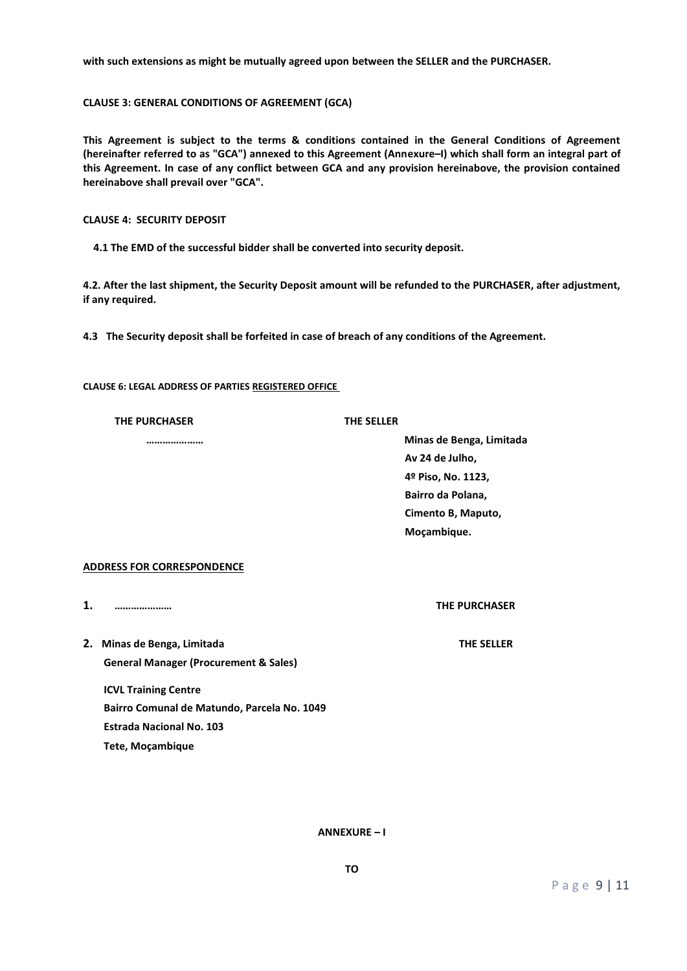**with such extensions as might be mutually agreed upon between the SELLER and the PURCHASER.**

**CLAUSE 3: GENERAL CONDITIONS OF AGREEMENT (GCA)**

**This Agreement is subject to the terms & conditions contained in the General Conditions of Agreement (hereinafter referred to as "GCA") annexed to this Agreement (Annexure–I) which shall form an integral part of this Agreement. In case of any conflict between GCA and any provision hereinabove, the provision contained hereinabove shall prevail over "GCA".**

**CLAUSE 4: SECURITY DEPOSIT**

**4.1 The EMD of the successful bidder shall be converted into security deposit.**

**4.2. After the last shipment, the Security Deposit amount will be refunded to the PURCHASER, after adjustment, if any required.**

**4.3 The Security deposit shall be forfeited in case of breach of any conditions of the Agreement.**

**CLAUSE 6: LEGAL ADDRESS OF PARTIES REGISTERED OFFICE**

|  | <b>THE PURCHASER</b> |
|--|----------------------|
|  |                      |

#### **THE PURCHASER THE SELLER**

**………………… Minas de Benga, Limitada Av 24 de Julho, 4º Piso, No. 1123, Bairro da Polana, Cimento B, Maputo, Moçambique.**

### **ADDRESS FOR CORRESPONDENCE**

**1. ………………… THE PURCHASER**

**2. Minas de Benga, Limitada THE SELLER General Manager (Procurement & Sales)**

**ICVL Training Centre Bairro Comunal de Matundo, Parcela No. 1049 Estrada Nacional No. 103 Tete, Moçambique**

**ANNEXURE – I**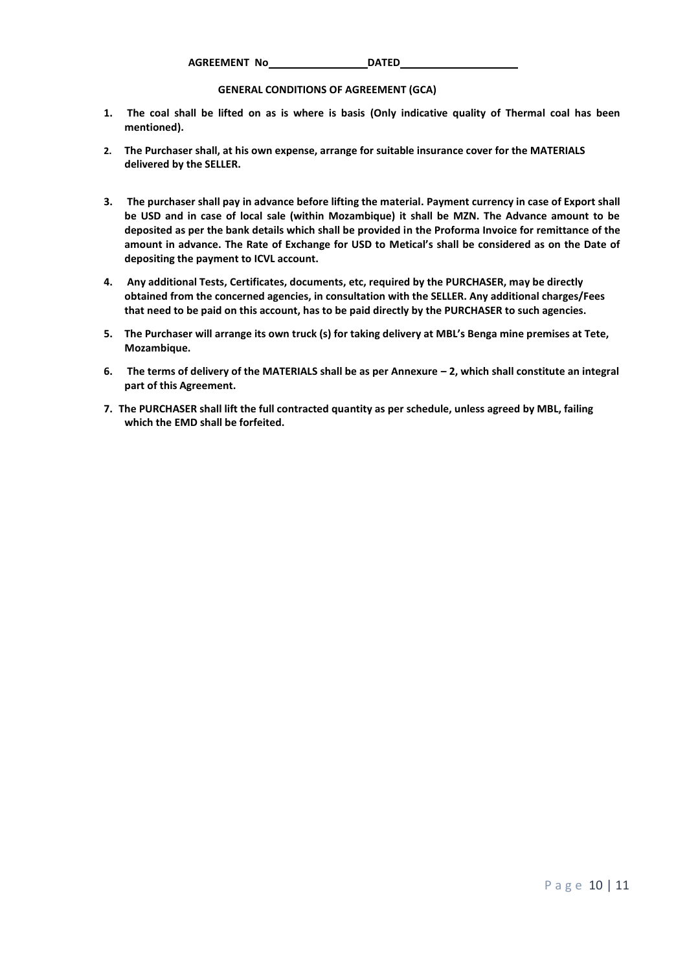**AGREEMENT No DATED**

## **GENERAL CONDITIONS OF AGREEMENT (GCA)**

- **1. The coal shall be lifted on as is where is basis (Only indicative quality of Thermal coal has been mentioned).**
- **2. The Purchaser shall, at his own expense, arrange for suitable insurance cover for the MATERIALS delivered by the SELLER.**
- **3. The purchaser shall pay in advance before lifting the material. Payment currency in case of Export shall be USD and in case of local sale (within Mozambique) it shall be MZN. The Advance amount to be deposited as per the bank details which shall be provided in the Proforma Invoice for remittance of the amount in advance. The Rate of Exchange for USD to Metical's shall be considered as on the Date of depositing the payment to ICVL account.**
- **4. Any additional Tests, Certificates, documents, etc, required by the PURCHASER, may be directly obtained from the concerned agencies, in consultation with the SELLER. Any additional charges/Fees that need to be paid on this account, has to be paid directly by the PURCHASER to such agencies.**
- **5. The Purchaser will arrange its own truck (s) for taking delivery at MBL's Benga mine premises at Tete, Mozambique.**
- **6. The terms of delivery of the MATERIALS shall be as per Annexure – 2, which shall constitute an integral part of this Agreement.**
- **7. The PURCHASER shall lift the full contracted quantity as per schedule, unless agreed by MBL, failing which the EMD shall be forfeited.**